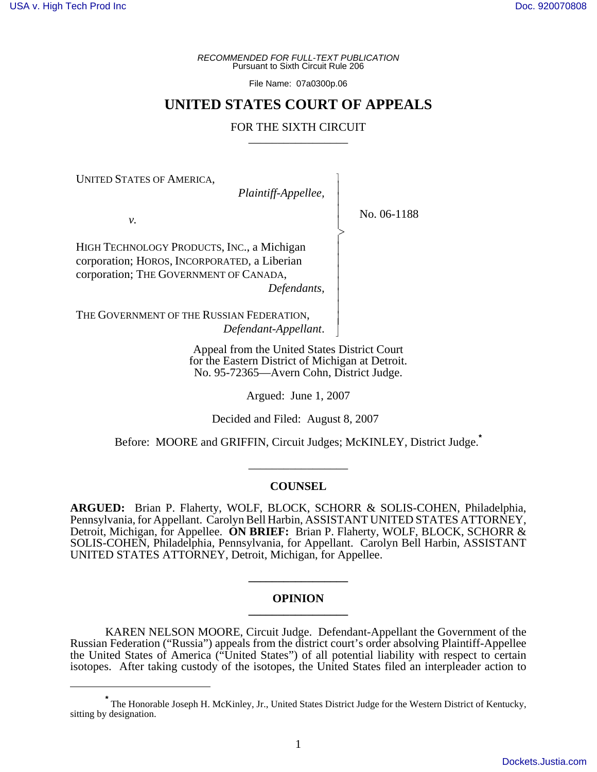*RECOMMENDED FOR FULL-TEXT PUBLICATION* Pursuant to Sixth Circuit Rule 206

File Name: 07a0300p.06

# **UNITED STATES COURT OF APPEALS**

## FOR THE SIXTH CIRCUIT

 $\overline{\phantom{a}}$ - - - -  $\succ$ |<br>|<br>| - - - - - - - N

UNITED STATES OF AMERICA,

*Plaintiff-Appellee,*

No. 06-1188

*v.*

HIGH TECHNOLOGY PRODUCTS, INC., a Michigan corporation; HOROS, INCORPORATED, a Liberian corporation; THE GOVERNMENT OF CANADA,

*Defendants,*

THE GOVERNMENT OF THE RUSSIAN FEDERATION, *Defendant-Appellant*.

> Appeal from the United States District Court for the Eastern District of Michigan at Detroit. No. 95-72365—Avern Cohn, District Judge.

> > Argued: June 1, 2007

Decided and Filed: August 8, 2007

Before: MOORE and GRIFFIN, Circuit Judges; McKINLEY, District Judge.**\***

\_\_\_\_\_\_\_\_\_\_\_\_\_\_\_\_\_

### **COUNSEL**

**ARGUED:** Brian P. Flaherty, WOLF, BLOCK, SCHORR & SOLIS-COHEN, Philadelphia, Pennsylvania, for Appellant. Carolyn Bell Harbin, ASSISTANT UNITED STATES ATTORNEY, Detroit, Michigan, for Appellee. **ON BRIEF:** Brian P. Flaherty, WOLF, BLOCK, SCHORR & SOLIS-COHEN, Philadelphia, Pennsylvania, for Appellant. Carolyn Bell Harbin, ASSISTANT UNITED STATES ATTORNEY, Detroit, Michigan, for Appellee.

## **OPINION \_\_\_\_\_\_\_\_\_\_\_\_\_\_\_\_\_**

**\_\_\_\_\_\_\_\_\_\_\_\_\_\_\_\_\_**

KAREN NELSON MOORE, Circuit Judge. Defendant-Appellant the Government of the Russian Federation ("Russia") appeals from the district court's order absolving Plaintiff-Appellee the United States of America ("United States") of all potential liability with respect to certain isotopes. After taking custody of the isotopes, the United States filed an interpleader action to

**<sup>\*</sup>** The Honorable Joseph H. McKinley, Jr., United States District Judge for the Western District of Kentucky, sitting by designation.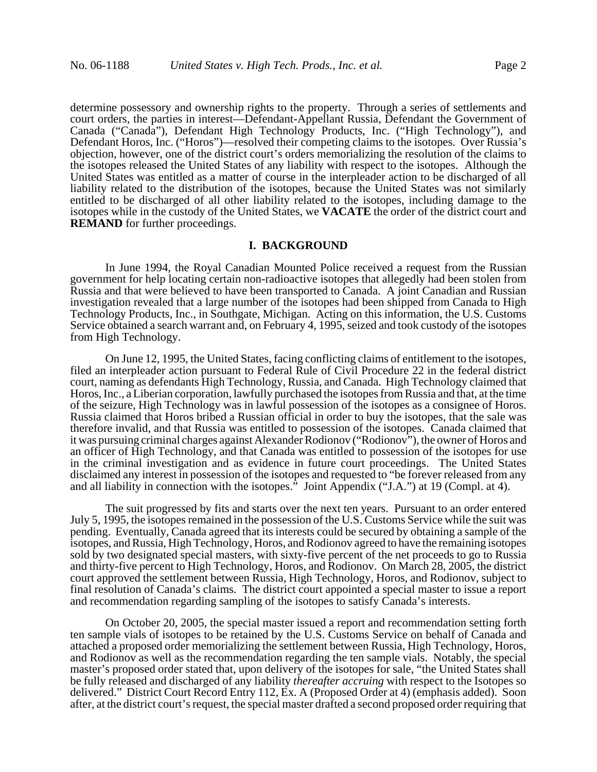determine possessory and ownership rights to the property. Through a series of settlements and court orders, the parties in interest—Defendant-Appellant Russia, Defendant the Government of Canada ("Canada"), Defendant High Technology Products, Inc. ("High Technology"), and Defendant Horos, Inc. ("Horos")—resolved their competing claims to the isotopes. Over Russia's objection, however, one of the district court's orders memorializing the resolution of the claims to the isotopes released the United States of any liability with respect to the isotopes. Although the United States was entitled as a matter of course in the interpleader action to be discharged of all liability related to the distribution of the isotopes, because the United States was not similarly entitled to be discharged of all other liability related to the isotopes, including damage to the isotopes while in the custody of the United States, we **VACATE** the order of the district court and **REMAND** for further proceedings.

#### **I. BACKGROUND**

In June 1994, the Royal Canadian Mounted Police received a request from the Russian government for help locating certain non-radioactive isotopes that allegedly had been stolen from Russia and that were believed to have been transported to Canada. A joint Canadian and Russian investigation revealed that a large number of the isotopes had been shipped from Canada to High Technology Products, Inc., in Southgate, Michigan. Acting on this information, the U.S. Customs Service obtained a search warrant and, on February 4, 1995, seized and took custody of the isotopes from High Technology.

On June 12, 1995, the United States, facing conflicting claims of entitlement to the isotopes, filed an interpleader action pursuant to Federal Rule of Civil Procedure 22 in the federal district court, naming as defendants High Technology, Russia, and Canada. High Technology claimed that Horos, Inc., a Liberian corporation, lawfully purchased the isotopes from Russia and that, at the time of the seizure, High Technology was in lawful possession of the isotopes as a consignee of Horos. Russia claimed that Horos bribed a Russian official in order to buy the isotopes, that the sale was therefore invalid, and that Russia was entitled to possession of the isotopes. Canada claimed that it was pursuing criminal charges against Alexander Rodionov ("Rodionov"), the owner of Horos and an officer of High Technology, and that Canada was entitled to possession of the isotopes for use in the criminal investigation and as evidence in future court proceedings. The United States disclaimed any interest in possession of the isotopes and requested to "be forever released from any and all liability in connection with the isotopes." Joint Appendix ("J.A.") at 19 (Compl. at 4).

The suit progressed by fits and starts over the next ten years. Pursuant to an order entered July 5, 1995, the isotopes remained in the possession of the U.S. Customs Service while the suit was pending. Eventually, Canada agreed that its interests could be secured by obtaining a sample of the isotopes, and Russia, High Technology, Horos, and Rodionov agreed to have the remaining isotopes sold by two designated special masters, with sixty-five percent of the net proceeds to go to Russia and thirty-five percent to High Technology, Horos, and Rodionov. On March 28, 2005, the district court approved the settlement between Russia, High Technology, Horos, and Rodionov, subject to final resolution of Canada's claims. The district court appointed a special master to issue a report and recommendation regarding sampling of the isotopes to satisfy Canada's interests.

On October 20, 2005, the special master issued a report and recommendation setting forth ten sample vials of isotopes to be retained by the U.S. Customs Service on behalf of Canada and attached a proposed order memorializing the settlement between Russia, High Technology, Horos, and Rodionov as well as the recommendation regarding the ten sample vials. Notably, the special master's proposed order stated that, upon delivery of the isotopes for sale, "the United States shall be fully released and discharged of any liability *thereafter accruing* with respect to the Isotopes so delivered." District Court Record Entry 112, Ex. A (Proposed Order at 4) (emphasis added). Soon after, at the district court's request, the special master drafted a second proposed order requiring that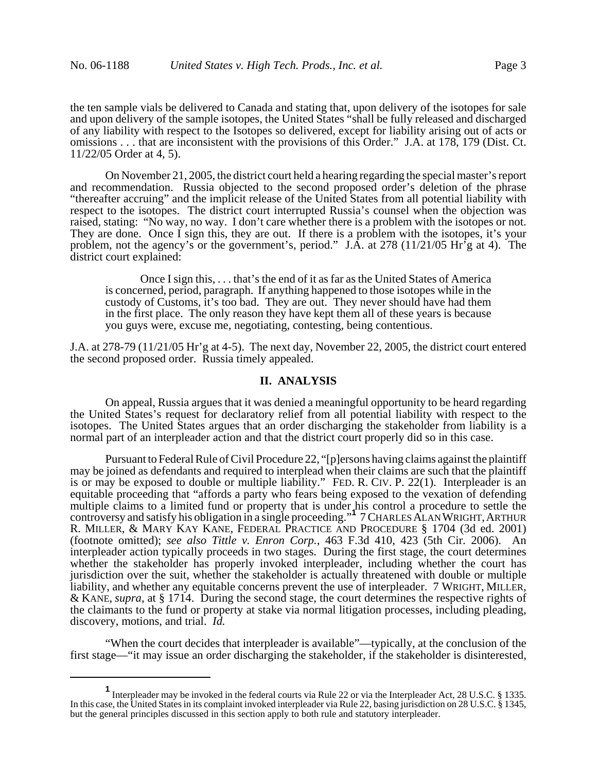the ten sample vials be delivered to Canada and stating that, upon delivery of the isotopes for sale and upon delivery of the sample isotopes, the United States "shall be fully released and discharged of any liability with respect to the Isotopes so delivered, except for liability arising out of acts or omissions . . . that are inconsistent with the provisions of this Order." J.A. at 178, 179 (Dist. Ct. 11/22/05 Order at 4, 5).

On November 21, 2005, the district court held a hearing regarding the special master's report and recommendation. Russia objected to the second proposed order's deletion of the phrase "thereafter accruing" and the implicit release of the United States from all potential liability with respect to the isotopes. The district court interrupted Russia's counsel when the objection was raised, stating: "No way, no way. I don't care whether there is a problem with the isotopes or not. They are done. Once I sign this, they are out. If there is a problem with the isotopes, it's your problem, not the agency's or the government's, period." J.A. at 278 (11/21/05 Hr'g at 4). The district court explained:

Once I sign this, . . . that's the end of it as far as the United States of America is concerned, period, paragraph. If anything happened to those isotopes while in the custody of Customs, it's too bad. They are out. They never should have had them in the first place. The only reason they have kept them all of these years is because you guys were, excuse me, negotiating, contesting, being contentious.

J.A. at 278-79 (11/21/05 Hr'g at 4-5). The next day, November 22, 2005, the district court entered the second proposed order. Russia timely appealed.

## **II. ANALYSIS**

On appeal, Russia argues that it was denied a meaningful opportunity to be heard regarding the United States's request for declaratory relief from all potential liability with respect to the isotopes. The United States argues that an order discharging the stakeholder from liability is a normal part of an interpleader action and that the district court properly did so in this case.

Pursuant to Federal Rule of Civil Procedure 22, "[p]ersons having claims against the plaintiff may be joined as defendants and required to interplead when their claims are such that the plaintiff is or may be exposed to double or multiple liability." FED. R. CIV. P. 22(1). Interpleader is an equitable proceeding that "affords a party who fears being exposed to the vexation of defending multiple claims to a limited fund or property that is under his control a procedure to settle the controversy and satisfy his obligation in a single proceeding."**<sup>1</sup>** 7 CHARLES ALAN WRIGHT,ARTHUR R. MILLER, & MARY KAY KANE, FEDERAL PRACTICE AND PROCEDURE § 1704 (3d ed. 2001) (footnote omitted); *see also Tittle v. Enron Corp.*, 463 F.3d 410, 423 (5th Cir. 2006). An interpleader action typically proceeds in two stages. During the first stage, the court determines whether the stakeholder has properly invoked interpleader, including whether the court has jurisdiction over the suit, whether the stakeholder is actually threatened with double or multiple liability, and whether any equitable concerns prevent the use of interpleader. 7 WRIGHT, MILLER, & KANE, *supra*, at § 1714. During the second stage, the court determines the respective rights of the claimants to the fund or property at stake via normal litigation processes, including pleading, discovery, motions, and trial. *Id.*

"When the court decides that interpleader is available"—typically, at the conclusion of the first stage—"it may issue an order discharging the stakeholder, if the stakeholder is disinterested,

**<sup>1</sup>** Interpleader may be invoked in the federal courts via Rule 22 or via the Interpleader Act, 28 U.S.C. § 1335. In this case, the United States in its complaint invoked interpleader via Rule 22, basing jurisdiction on 28 U.S.C. § 1345, but the general principles discussed in this section apply to both rule and statutory interpleader.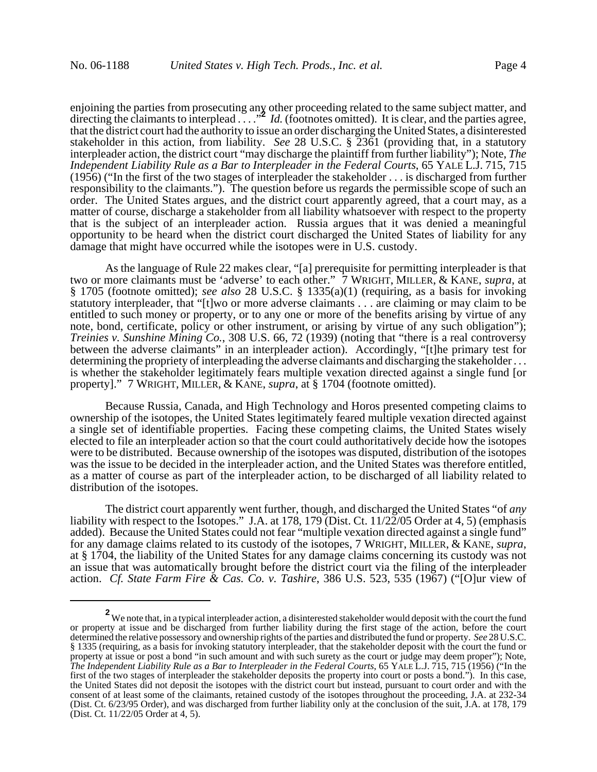enjoining the parties from prosecuting any other proceeding related to the same subject matter, and directing the claimants to interplead . . . .<sup>2</sup> *Id.* (footnotes omitted). It is clear, and the parties agree, that the district court had the authority to issue an order discharging the United States, a disinterested stakeholder in this action, from liability. *See* 28 U.S.C. § 2361 (providing that, in a statutory interpleader action, the district court "may discharge the plaintiff from further liability"); Note, *The Independent Liability Rule as a Bar to Interpleader in the Federal Courts*, 65 YALE L.J. 715, 715 (1956) ("In the first of the two stages of interpleader the stakeholder . . . is discharged from further responsibility to the claimants."). The question before us regards the permissible scope of such an order. The United States argues, and the district court apparently agreed, that a court may, as a matter of course, discharge a stakeholder from all liability whatsoever with respect to the property that is the subject of an interpleader action. Russia argues that it was denied a meaningful opportunity to be heard when the district court discharged the United States of liability for any damage that might have occurred while the isotopes were in U.S. custody.

As the language of Rule 22 makes clear, "[a] prerequisite for permitting interpleader is that two or more claimants must be 'adverse' to each other." 7 WRIGHT, MILLER, & KANE, *supra*, at § 1705 (footnote omitted); *see also* 28 U.S.C. § 1335(a)(1) (requiring, as a basis for invoking statutory interpleader, that "[t]wo or more adverse claimants . . . are claiming or may claim to be entitled to such money or property, or to any one or more of the benefits arising by virtue of any note, bond, certificate, policy or other instrument, or arising by virtue of any such obligation"); *Treinies v. Sunshine Mining Co.*, 308 U.S. 66, 72 (1939) (noting that "there is a real controversy between the adverse claimants" in an interpleader action). Accordingly, "[t]he primary test for determining the propriety of interpleading the adverse claimants and discharging the stakeholder . . . is whether the stakeholder legitimately fears multiple vexation directed against a single fund [or property]." 7 WRIGHT, MILLER, & KANE, *supra*, at § 1704 (footnote omitted).

Because Russia, Canada, and High Technology and Horos presented competing claims to ownership of the isotopes, the United States legitimately feared multiple vexation directed against a single set of identifiable properties. Facing these competing claims, the United States wisely elected to file an interpleader action so that the court could authoritatively decide how the isotopes were to be distributed. Because ownership of the isotopes was disputed, distribution of the isotopes was the issue to be decided in the interpleader action, and the United States was therefore entitled, as a matter of course as part of the interpleader action, to be discharged of all liability related to distribution of the isotopes.

The district court apparently went further, though, and discharged the United States "of *any* liability with respect to the Isotopes." J.A. at 178, 179 (Dist. Ct. 11/22/05 Order at 4, 5) (emphasis added). Because the United States could not fear "multiple vexation directed against a single fund" for any damage claims related to its custody of the isotopes, 7 WRIGHT, MILLER, & KANE, *supra*, at § 1704, the liability of the United States for any damage claims concerning its custody was not an issue that was automatically brought before the district court via the filing of the interpleader action. *Cf. State Farm Fire & Cas. Co. v. Tashire*, 386 U.S. 523, 535 (1967) ("[O]ur view of

**<sup>2</sup>** We note that, in a typical interpleader action, a disinterested stakeholder would deposit with the court the fund or property at issue and be discharged from further liability during the first stage of the action, before the court determined the relative possessory and ownership rights of the parties and distributed the fund or property. *See* 28 U.S.C. § 1335 (requiring, as a basis for invoking statutory interpleader, that the stakeholder deposit with the court the fund or property at issue or post a bond "in such amount and with such surety as the court or judge may deem proper"); Note, *The Independent Liability Rule as a Bar to Interpleader in the Federal Courts*, 65 YALE L.J. 715, 715 (1956) ("In the first of the two stages of interpleader the stakeholder deposits the property into court or posts a bond."). In this case, the United States did not deposit the isotopes with the district court but instead, pursuant to court order and with the consent of at least some of the claimants, retained custody of the isotopes throughout the proceeding, J.A. at 232-34 (Dist. Ct. 6/23/95 Order), and was discharged from further liability only at the conclusion of the suit, J.A. at 178, 179 (Dist. Ct. 11/22/05 Order at 4, 5).